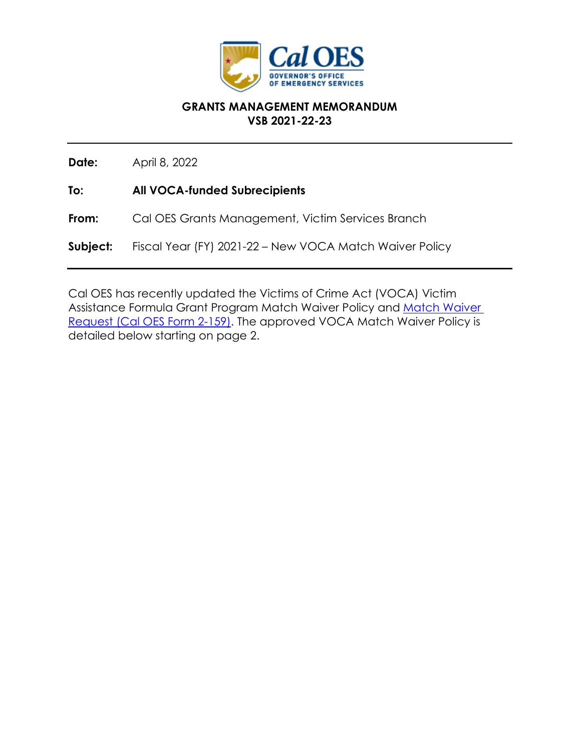

#### **GRANTS MANAGEMENT MEMORANDUM VSB 2021-22-23**

**Date:** April 8, 2022

**To: All VOCA-funded Subrecipients** 

**From:** Cal OES Grants Management, Victim Services Branch

**Subject:** Fiscal Year (FY) 2021-22 – New VOCA Match Waiver Policy

Cal OES has recently updated the Victims of Crime Act (VOCA) Victim Assistance Formula Grant Program Match Waiver Policy and [Match Waiver](https://www.caloes.ca.gov/GrantsManagementSite/Documents/2-159_VOCA_Match_Waiver_Request_Form.pdf)  [Request \(Cal OES Form 2-159\).](https://www.caloes.ca.gov/GrantsManagementSite/Documents/2-159_VOCA_Match_Waiver_Request_Form.pdf) The approved VOCA Match Waiver Policy is detailed below starting on page 2.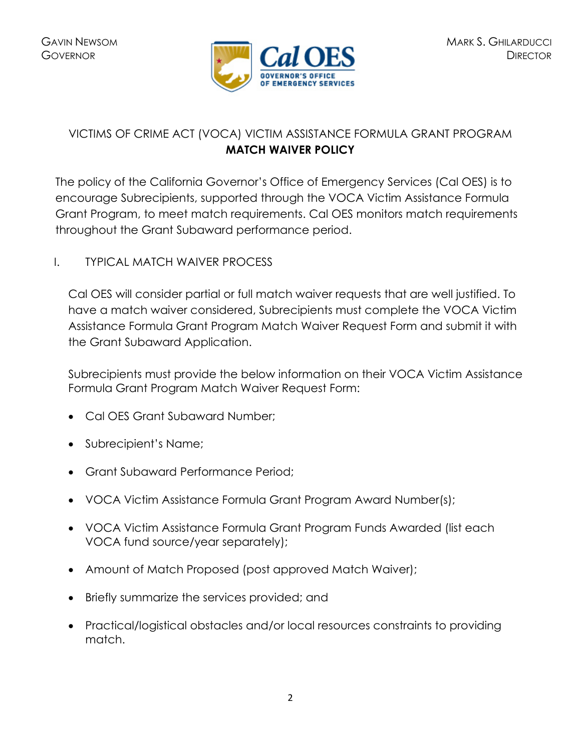

# VICTIMS OF CRIME ACT (VOCA) VICTIM ASSISTANCE FORMULA GRANT PROGRAM **MATCH WAIVER POLICY**

The policy of the California Governor's Office of Emergency Services (Cal OES) is to encourage Subrecipients, supported through the VOCA Victim Assistance Formula Grant Program, to meet match requirements. Cal OES monitors match requirements throughout the Grant Subaward performance period.

## I. TYPICAL MATCH WAIVER PROCESS

Cal OES will consider partial or full match waiver requests that are well justified. To have a match waiver considered, Subrecipients must complete the VOCA Victim Assistance Formula Grant Program Match Waiver Request Form and submit it with the Grant Subaward Application.

Subrecipients must provide the below information on their VOCA Victim Assistance Formula Grant Program Match Waiver Request Form:

- Cal OES Grant Subaward Number;
- Subrecipient's Name;
- Grant Subaward Performance Period;
- VOCA Victim Assistance Formula Grant Program Award Number(s);
- VOCA Victim Assistance Formula Grant Program Funds Awarded (list each VOCA fund source/year separately);
- Amount of Match Proposed (post approved Match Waiver);
- Briefly summarize the services provided; and
- Practical/logistical obstacles and/or local resources constraints to providing match.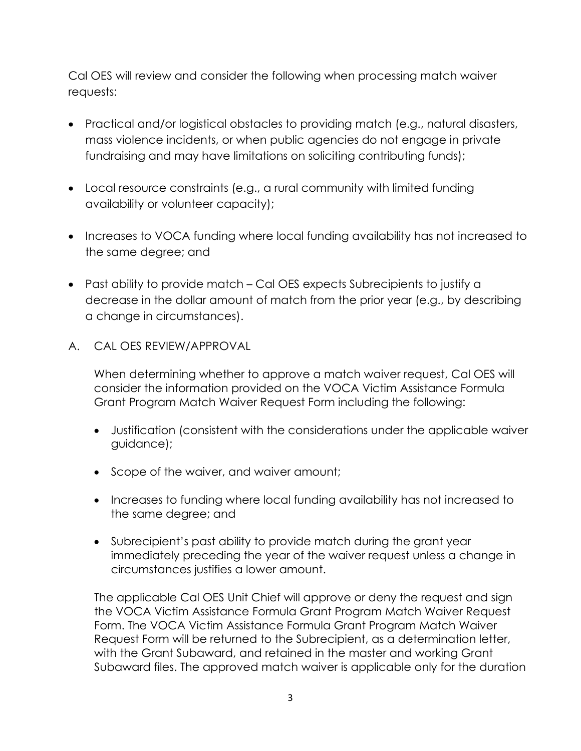Cal OES will review and consider the following when processing match waiver requests:

- Practical and/or logistical obstacles to providing match (e.g., natural disasters, mass violence incidents, or when public agencies do not engage in private fundraising and may have limitations on soliciting contributing funds);
- Local resource constraints (e.g., a rural community with limited funding availability or volunteer capacity);
- Increases to VOCA funding where local funding availability has not increased to the same degree; and
- Past ability to provide match Cal OES expects Subrecipients to justify a decrease in the dollar amount of match from the prior year (e.g., by describing a change in circumstances).
- A. CAL OES REVIEW/APPROVAL

When determining whether to approve a match waiver request, Cal OES will consider the information provided on the VOCA Victim Assistance Formula Grant Program Match Waiver Request Form including the following:

- Justification (consistent with the considerations under the applicable waiver guidance);
- Scope of the waiver, and waiver amount;
- Increases to funding where local funding availability has not increased to the same degree; and
- Subrecipient's past ability to provide match during the grant year immediately preceding the year of the waiver request unless a change in circumstances justifies a lower amount.

The applicable Cal OES Unit Chief will approve or deny the request and sign the VOCA Victim Assistance Formula Grant Program Match Waiver Request Form. The VOCA Victim Assistance Formula Grant Program Match Waiver Request Form will be returned to the Subrecipient, as a determination letter, with the Grant Subaward, and retained in the master and working Grant Subaward files. The approved match waiver is applicable only for the duration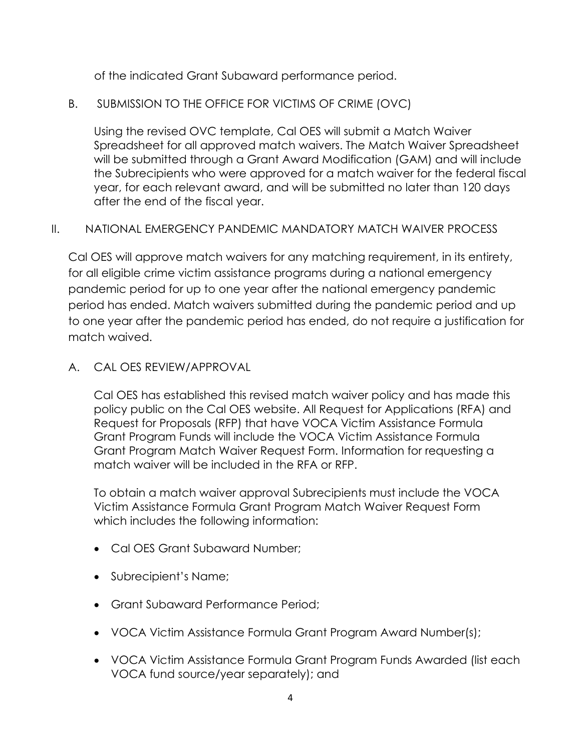of the indicated Grant Subaward performance period.

B. SUBMISSION TO THE OFFICE FOR VICTIMS OF CRIME (OVC)

Using the revised OVC template, Cal OES will submit a Match Waiver Spreadsheet for all approved match waivers. The Match Waiver Spreadsheet will be submitted through a Grant Award Modification (GAM) and will include the Subrecipients who were approved for a match waiver for the federal fiscal year, for each relevant award, and will be submitted no later than 120 days after the end of the fiscal year.

## II. NATIONAL EMERGENCY PANDEMIC MANDATORY MATCH WAIVER PROCESS

Cal OES will approve match waivers for any matching requirement, in its entirety, for all eligible crime victim assistance programs during a national emergency pandemic period for up to one year after the national emergency pandemic period has ended. Match waivers submitted during the pandemic period and up to one year after the pandemic period has ended, do not require a justification for match waived.

A. CAL OES REVIEW/APPROVAL

Cal OES has established this revised match waiver policy and has made this policy public on the Cal OES website. All Request for Applications (RFA) and Request for Proposals (RFP) that have VOCA Victim Assistance Formula Grant Program Funds will include the VOCA Victim Assistance Formula Grant Program Match Waiver Request Form. Information for requesting a match waiver will be included in the RFA or RFP.

To obtain a match waiver approval Subrecipients must include the VOCA Victim Assistance Formula Grant Program Match Waiver Request Form which includes the following information:

- Cal OES Grant Subaward Number;
- Subrecipient's Name;
- Grant Subaward Performance Period;
- VOCA Victim Assistance Formula Grant Program Award Number(s);
- VOCA Victim Assistance Formula Grant Program Funds Awarded (list each VOCA fund source/year separately); and